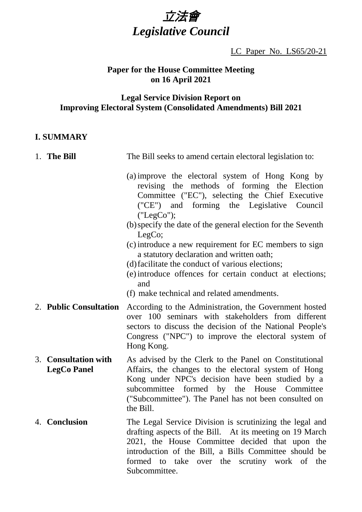# 立法會 *Legislative Council*

LC Paper No. LS65/20-21

#### **Paper for the House Committee Meeting on 16 April 2021**

## **Legal Service Division Report on Improving Electoral System (Consolidated Amendments) Bill 2021**

#### **I. SUMMARY**

| 1. The Bill                                | The Bill seeks to amend certain electoral legislation to:                                                                                                                                                                                                                                                                                                                                                                                                                                                                                                             |
|--------------------------------------------|-----------------------------------------------------------------------------------------------------------------------------------------------------------------------------------------------------------------------------------------------------------------------------------------------------------------------------------------------------------------------------------------------------------------------------------------------------------------------------------------------------------------------------------------------------------------------|
|                                            | (a) improve the electoral system of Hong Kong by<br>revising the methods of forming the Election<br>Committee ("EC"), selecting the Chief Executive<br>("CE") and forming the Legislative Council<br>("LegCo");<br>(b) specify the date of the general election for the Seventh<br>LegCo;<br>(c) introduce a new requirement for EC members to sign<br>a statutory declaration and written oath;<br>(d) facilitate the conduct of various elections;<br>(e) introduce offences for certain conduct at elections;<br>and<br>(f) make technical and related amendments. |
| 2. Public Consultation                     | According to the Administration, the Government hosted<br>over 100 seminars with stakeholders from different<br>sectors to discuss the decision of the National People's<br>Congress ("NPC") to improve the electoral system of<br>Hong Kong.                                                                                                                                                                                                                                                                                                                         |
| 3. Consultation with<br><b>LegCo Panel</b> | As advised by the Clerk to the Panel on Constitutional<br>Affairs, the changes to the electoral system of Hong<br>Kong under NPC's decision have been studied by a<br>subcommittee formed by the House Committee<br>("Subcommittee"). The Panel has not been consulted on<br>the Bill.                                                                                                                                                                                                                                                                                |
| 4. Conclusion                              | The Legal Service Division is scrutinizing the legal and<br>drafting aspects of the Bill. At its meeting on 19 March<br>2021, the House Committee decided that upon the<br>introduction of the Bill, a Bills Committee should be<br>formed to take over the scrutiny work of the<br>Subcommittee.                                                                                                                                                                                                                                                                     |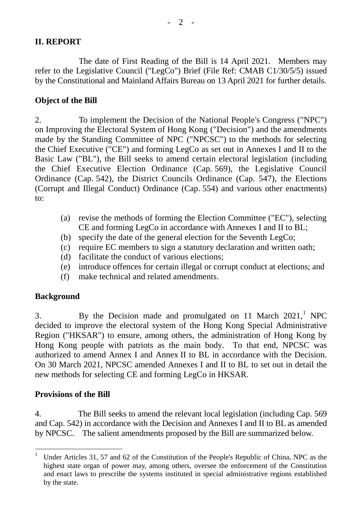## **II. REPORT**

The date of First Reading of the Bill is 14 April 2021. Members may refer to the Legislative Council ("LegCo") Brief (File Ref: CMAB C1/30/5/5) issued by the Constitutional and Mainland Affairs Bureau on 13 April 2021 for further details.

## **Object of the Bill**

2. To implement the Decision of the National People's Congress ("NPC") on Improving the Electoral System of Hong Kong ("Decision") and the amendments made by the Standing Committee of NPC ("NPCSC") to the methods for selecting the Chief Executive ("CE") and forming LegCo as set out in Annexes I and II to the Basic Law ("BL"), the Bill seeks to amend certain electoral legislation (including the Chief Executive Election Ordinance (Cap. 569), the Legislative Council Ordinance (Cap. 542), the District Councils Ordinance (Cap. 547), the Elections (Corrupt and Illegal Conduct) Ordinance (Cap. 554) and various other enactments) to:

- (a) revise the methods of forming the Election Committee ("EC"), selecting CE and forming LegCo in accordance with Annexes I and II to BL;
- (b) specify the date of the general election for the Seventh LegCo;
- (c) require EC members to sign a statutory declaration and written oath;
- (d) facilitate the conduct of various elections;
- (e) introduce offences for certain illegal or corrupt conduct at elections; and
- (f) make technical and related amendments.

# **Background**

3. By the Decision made and promulgated on 11 March 2021,<sup>1</sup> NPC decided to improve the electoral system of the Hong Kong Special Administrative Region ("HKSAR") to ensure, among others, the administration of Hong Kong by Hong Kong people with patriots as the main body. To that end, NPCSC was authorized to amend Annex I and Annex II to BL in accordance with the Decision. On 30 March 2021, NPCSC amended Annexes I and II to BL to set out in detail the new methods for selecting CE and forming LegCo in HKSAR.

## **Provisions of the Bill**

4. The Bill seeks to amend the relevant local legislation (including Cap. 569 and Cap. 542) in accordance with the Decision and Annexes I and II to BL as amended by NPCSC. The salient amendments proposed by the Bill are summarized below.

 <sup>1</sup> Under Articles 31, 57 and 62 of the Constitution of the People's Republic of China, NPC as the highest state organ of power may, among others, oversee the enforcement of the Constitution and enact laws to prescribe the systems instituted in special administrative regions established by the state.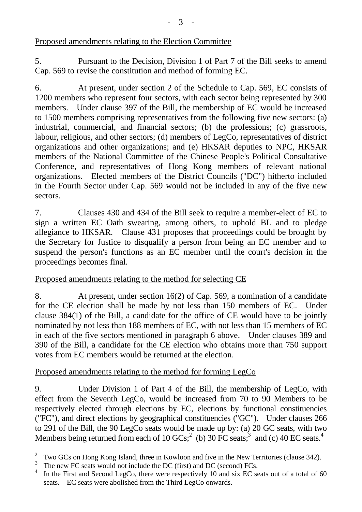Proposed amendments relating to the Election Committee

5. Pursuant to the Decision, Division 1 of Part 7 of the Bill seeks to amend Cap. 569 to revise the constitution and method of forming EC.

6. At present, under section 2 of the Schedule to Cap. 569, EC consists of 1200 members who represent four sectors, with each sector being represented by 300 members. Under clause 397 of the Bill, the membership of EC would be increased to 1500 members comprising representatives from the following five new sectors: (a) industrial, commercial, and financial sectors; (b) the professions; (c) grassroots, labour, religious, and other sectors; (d) members of LegCo, representatives of district organizations and other organizations; and (e) HKSAR deputies to NPC, HKSAR members of the National Committee of the Chinese People's Political Consultative Conference, and representatives of Hong Kong members of relevant national organizations. Elected members of the District Councils ("DC") hitherto included in the Fourth Sector under Cap. 569 would not be included in any of the five new sectors.

7. Clauses 430 and 434 of the Bill seek to require a member-elect of EC to sign a written EC Oath swearing, among others, to uphold BL and to pledge allegiance to HKSAR. Clause 431 proposes that proceedings could be brought by the Secretary for Justice to disqualify a person from being an EC member and to suspend the person's functions as an EC member until the court's decision in the proceedings becomes final.

## Proposed amendments relating to the method for selecting CE

8. At present, under section 16(2) of Cap. 569, a nomination of a candidate for the CE election shall be made by not less than 150 members of EC. Under clause 384(1) of the Bill, a candidate for the office of CE would have to be jointly nominated by not less than 188 members of EC, with not less than 15 members of EC in each of the five sectors mentioned in paragraph 6 above. Under clauses 389 and 390 of the Bill, a candidate for the CE election who obtains more than 750 support votes from EC members would be returned at the election.

## Proposed amendments relating to the method for forming LegCo

9. Under Division 1 of Part 4 of the Bill, the membership of LegCo, with effect from the Seventh LegCo, would be increased from 70 to 90 Members to be respectively elected through elections by EC, elections by functional constituencies ("FC"), and direct elections by geographical constituencies ("GC"). Under clauses 266 to 291 of the Bill, the 90 LegCo seats would be made up by: (a) 20 GC seats, with two Members being returned from each of 10  $GCs$ ;  $^2$  (b) 30 FC seats;  $^3$  and (c) 40 EC seats.<sup>4</sup>

 2 Two GCs on Hong Kong Island, three in Kowloon and five in the New Territories (clause 342).

<sup>3</sup> The new FC seats would not include the DC (first) and DC (second) FCs.

<sup>4</sup> In the First and Second LegCo, there were respectively 10 and six EC seats out of a total of 60 seats. EC seats were abolished from the Third LegCo onwards.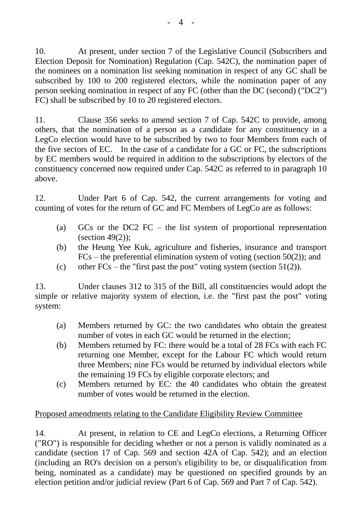10. At present, under section 7 of the Legislative Council (Subscribers and Election Deposit for Nomination) Regulation (Cap. 542C), the nomination paper of the nominees on a nomination list seeking nomination in respect of any GC shall be subscribed by 100 to 200 registered electors, while the nomination paper of any person seeking nomination in respect of any FC (other than the DC (second) ("DC2") FC) shall be subscribed by 10 to 20 registered electors.

11. Clause 356 seeks to amend section 7 of Cap. 542C to provide, among others, that the nomination of a person as a candidate for any constituency in a LegCo election would have to be subscribed by two to four Members from each of the five sectors of EC. In the case of a candidate for a GC or FC, the subscriptions by EC members would be required in addition to the subscriptions by electors of the constituency concerned now required under Cap. 542C as referred to in paragraph 10 above.

12. Under Part 6 of Cap. 542, the current arrangements for voting and counting of votes for the return of GC and FC Members of LegCo are as follows:

- (a) GCs or the DC2 FC the list system of proportional representation (section  $49(2)$ ):
- (b) the Heung Yee Kuk, agriculture and fisheries, insurance and transport  $FCs$  – the preferential elimination system of voting (section 50(2)); and
- (c) other  $FCs$  the "first past the post" voting system (section 51(2)).

13. Under clauses 312 to 315 of the Bill, all constituencies would adopt the simple or relative majority system of election, i.e. the "first past the post" voting system:

- (a) Members returned by GC: the two candidates who obtain the greatest number of votes in each GC would be returned in the election;
- (b) Members returned by FC: there would be a total of 28 FCs with each FC returning one Member, except for the Labour FC which would return three Members; nine FCs would be returned by individual electors while the remaining 19 FCs by eligible corporate electors; and
- (c) Members returned by EC: the 40 candidates who obtain the greatest number of votes would be returned in the election.

## Proposed amendments relating to the Candidate Eligibility Review Committee

14. At present, in relation to CE and LegCo elections, a Returning Officer ("RO") is responsible for deciding whether or not a person is validly nominated as a candidate (section 17 of Cap. 569 and section 42A of Cap. 542); and an election (including an RO's decision on a person's eligibility to be, or disqualification from being, nominated as a candidate) may be questioned on specified grounds by an election petition and/or judicial review (Part 6 of Cap. 569 and Part 7 of Cap. 542).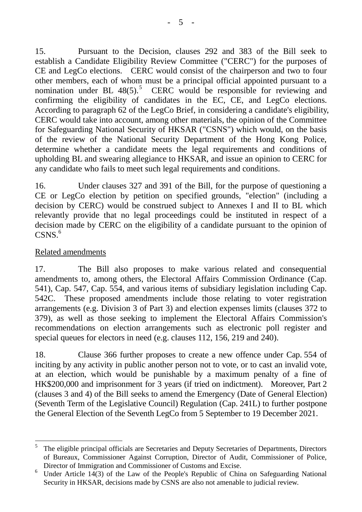15. Pursuant to the Decision, clauses 292 and 383 of the Bill seek to establish a Candidate Eligibility Review Committee ("CERC") for the purposes of CE and LegCo elections. CERC would consist of the chairperson and two to four other members, each of whom must be a principal official appointed pursuant to a nomination under BL  $48(5)$ .<sup>5</sup> CERC would be responsible for reviewing and confirming the eligibility of candidates in the EC, CE, and LegCo elections. According to paragraph 62 of the LegCo Brief, in considering a candidate's eligibility, CERC would take into account, among other materials, the opinion of the Committee for Safeguarding National Security of HKSAR ("CSNS") which would, on the basis of the review of the National Security Department of the Hong Kong Police, determine whether a candidate meets the legal requirements and conditions of upholding BL and swearing allegiance to HKSAR, and issue an opinion to CERC for any candidate who fails to meet such legal requirements and conditions.

16. Under clauses 327 and 391 of the Bill, for the purpose of questioning a CE or LegCo election by petition on specified grounds, "election" (including a decision by CERC) would be construed subject to Annexes I and II to BL which relevantly provide that no legal proceedings could be instituted in respect of a decision made by CERC on the eligibility of a candidate pursuant to the opinion of CSNS.<sup>6</sup>

## Related amendments

17. The Bill also proposes to make various related and consequential amendments to, among others, the Electoral Affairs Commission Ordinance (Cap. 541), Cap. 547, Cap. 554, and various items of subsidiary legislation including Cap. 542C. These proposed amendments include those relating to voter registration arrangements (e.g. Division 3 of Part 3) and election expenses limits (clauses 372 to 379), as well as those seeking to implement the Electoral Affairs Commission's recommendations on election arrangements such as electronic poll register and special queues for electors in need (e.g. clauses 112, 156, 219 and 240).

18. Clause 366 further proposes to create a new offence under Cap. 554 of inciting by any activity in public another person not to vote, or to cast an invalid vote, at an election, which would be punishable by a maximum penalty of a fine of HK\$200,000 and imprisonment for 3 years (if tried on indictment). Moreover, Part 2 (clauses 3 and 4) of the Bill seeks to amend the Emergency (Date of General Election) (Seventh Term of the Legislative Council) Regulation (Cap. 241L) to further postpone the General Election of the Seventh LegCo from 5 September to 19 December 2021.

l 5 The eligible principal officials are Secretaries and Deputy Secretaries of Departments, Directors of Bureaux, Commissioner Against Corruption, Director of Audit, Commissioner of Police, Director of Immigration and Commissioner of Customs and Excise.

<sup>&</sup>lt;sup>6</sup> Under Article 14(3) of the Law of the People's Republic of China on Safeguarding National Security in HKSAR, decisions made by CSNS are also not amenable to judicial review.